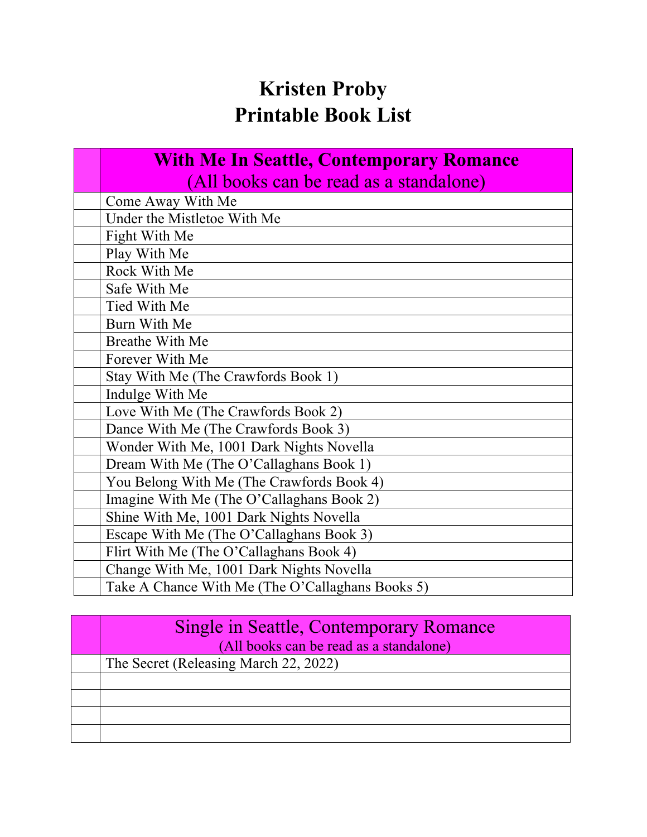# **Kristen Proby Printable Book List**

### **With Me In Seattle, Contemporary Romance** (All books can be read as a standalone)

| Come Away With Me                                |
|--------------------------------------------------|
| Under the Mistletoe With Me                      |
| Fight With Me                                    |
| Play With Me                                     |
| Rock With Me                                     |
| Safe With Me                                     |
| Tied With Me                                     |
| Burn With Me                                     |
| <b>Breathe With Me</b>                           |
| Forever With Me                                  |
| Stay With Me (The Crawfords Book 1)              |
| Indulge With Me                                  |
| Love With Me (The Crawfords Book 2)              |
| Dance With Me (The Crawfords Book 3)             |
| Wonder With Me, 1001 Dark Nights Novella         |
| Dream With Me (The O'Callaghans Book 1)          |
| You Belong With Me (The Crawfords Book 4)        |
| Imagine With Me (The O'Callaghans Book 2)        |
| Shine With Me, 1001 Dark Nights Novella          |
| Escape With Me (The O'Callaghans Book 3)         |
| Flirt With Me (The O'Callaghans Book 4)          |
| Change With Me, 1001 Dark Nights Novella         |
| Take A Chance With Me (The O'Callaghans Books 5) |

| Single in Seattle, Contemporary Romance |
|-----------------------------------------|
| (All books can be read as a standalone) |
| The Secret (Releasing March 22, 2022)   |
|                                         |
|                                         |
|                                         |
|                                         |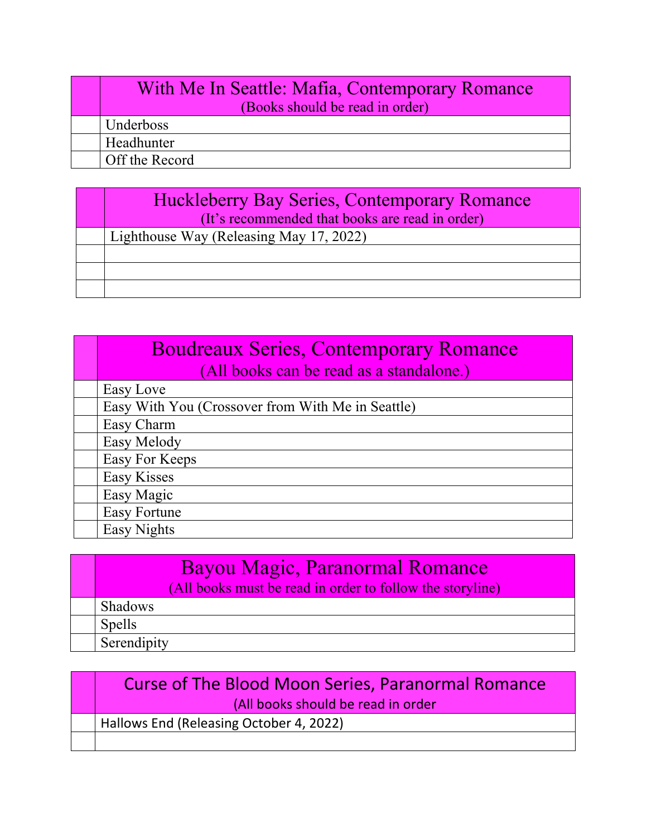#### With Me In Seattle: Mafia, Contemporary Romance (Books should be read in order)

Underboss Headhunter

Off the Record

#### Huckleberry Bay Series, Contemporary Romance (It's recommended that books are read in order)

| Lighthouse Way (Releasing May 17, 2022) |
|-----------------------------------------|
|                                         |
|                                         |
|                                         |

| <b>Boudreaux Series, Contemporary Romance</b>     |
|---------------------------------------------------|
| (All books can be read as a standalone.)          |
| Easy Love                                         |
| Easy With You (Crossover from With Me in Seattle) |
| Easy Charm                                        |
| Easy Melody                                       |
| Easy For Keeps                                    |
| Easy Kisses                                       |
| Easy Magic                                        |
| <b>Easy Fortune</b>                               |
| Easy Nights                                       |

| <b>Bayou Magic, Paranormal Romance</b><br>(All books must be read in order to follow the storyline) |
|-----------------------------------------------------------------------------------------------------|
| <b>Shadows</b>                                                                                      |
| Spells                                                                                              |
| Serendipity                                                                                         |

### Curse of The Blood Moon Series, Paranormal Romance (All books should be read in order

Hallows End (Releasing October 4, 2022)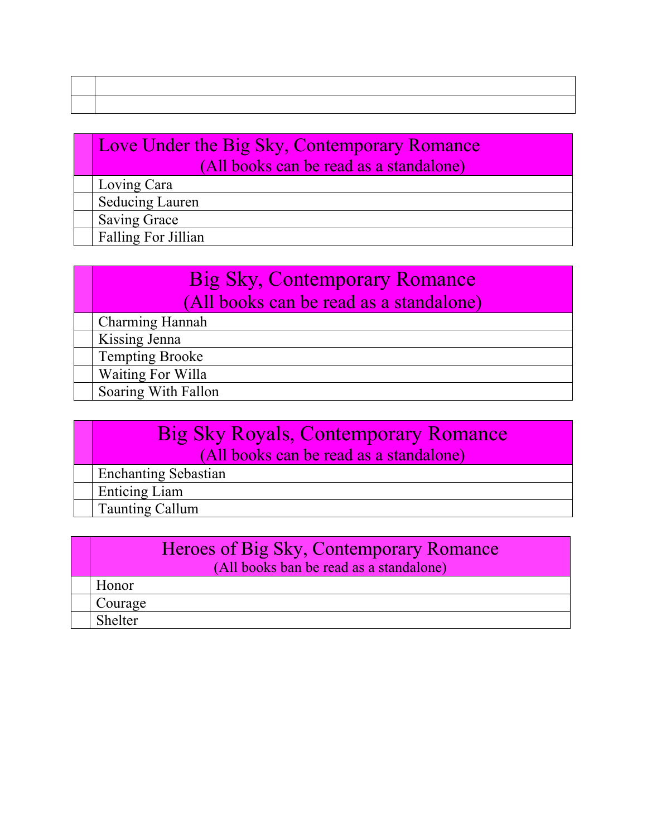## Love Under the Big Sky, Contemporary Romance (All books can be read as a standalone)

Loving Cara Seducing Lauren Saving Grace

Falling For Jillian

# Big Sky, Contemporary Romance (All books can be read as a standalone)

Charming Hannah

Kissing Jenna

Tempting Brooke

Waiting For Willa

Soaring With Fallon

### Big Sky Royals, Contemporary Romance (All books can be read as a standalone)

Enchanting Sebastian

Enticing Liam

Taunting Callum

#### Heroes of Big Sky, Contemporary Romance (All books ban be read as a standalone)

| <b>TT</b><br>Honor |
|--------------------|
| $\sim$<br>Courage  |
| Shelter            |